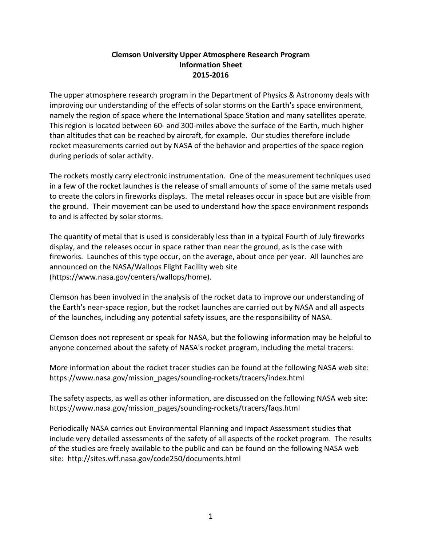## **Clemson University Upper Atmosphere Research Program Information Sheet 2015-2016**

The upper atmosphere research program in the Department of Physics & Astronomy deals with improving our understanding of the effects of solar storms on the Earth's space environment, namely the region of space where the International Space Station and many satellites operate. This region is located between 60- and 300-miles above the surface of the Earth, much higher than altitudes that can be reached by aircraft, for example. Our studies therefore include rocket measurements carried out by NASA of the behavior and properties of the space region during periods of solar activity.

The rockets mostly carry electronic instrumentation. One of the measurement techniques used in a few of the rocket launches is the release of small amounts of some of the same metals used to create the colors in fireworks displays. The metal releases occur in space but are visible from the ground. Their movement can be used to understand how the space environment responds to and is affected by solar storms.

The quantity of metal that is used is considerably less than in a typical Fourth of July fireworks display, and the releases occur in space rather than near the ground, as is the case with fireworks. Launches of this type occur, on the average, about once per year. All launches are announced on the NASA/Wallops Flight Facility web site (https://www.nasa.gov/centers/wallops/home).

Clemson has been involved in the analysis of the rocket data to improve our understanding of the Earth's near-space region, but the rocket launches are carried out by NASA and all aspects of the launches, including any potential safety issues, are the responsibility of NASA.

Clemson does not represent or speak for NASA, but the following information may be helpful to anyone concerned about the safety of NASA's rocket program, including the metal tracers:

More information about the rocket tracer studies can be found at the following NASA web site: https://www.nasa.gov/mission\_pages/sounding-rockets/tracers/index.html

The safety aspects, as well as other information, are discussed on the following NASA web site: https://www.nasa.gov/mission\_pages/sounding-rockets/tracers/faqs.html

Periodically NASA carries out Environmental Planning and Impact Assessment studies that include very detailed assessments of the safety of all aspects of the rocket program. The results of the studies are freely available to the public and can be found on the following NASA web site: http://sites.wff.nasa.gov/code250/documents.html